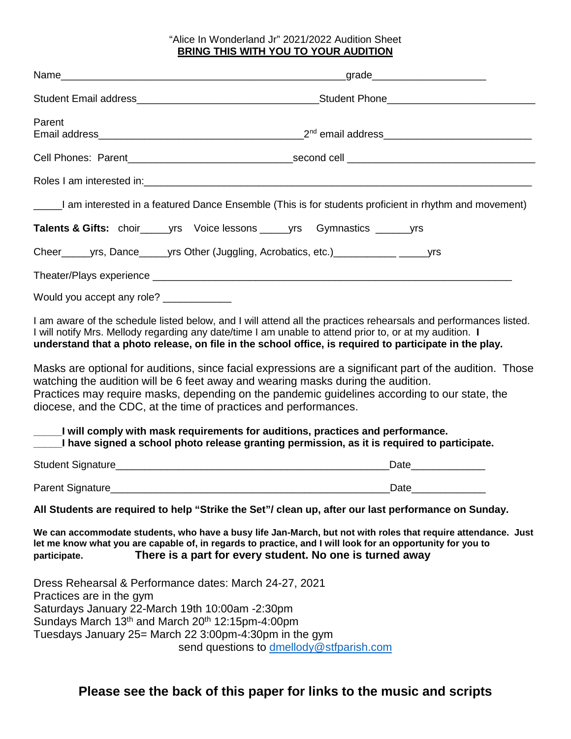## "Alice In Wonderland Jr" 2021/2022 Audition Sheet **BRING THIS WITH YOU TO YOUR AUDITION**

| Parent                                                                                                                                                                                                                                                                                                                                                                                                                                                                                                                                | $2^{nd}$ email address________________________________                                                |  |
|---------------------------------------------------------------------------------------------------------------------------------------------------------------------------------------------------------------------------------------------------------------------------------------------------------------------------------------------------------------------------------------------------------------------------------------------------------------------------------------------------------------------------------------|-------------------------------------------------------------------------------------------------------|--|
|                                                                                                                                                                                                                                                                                                                                                                                                                                                                                                                                       |                                                                                                       |  |
|                                                                                                                                                                                                                                                                                                                                                                                                                                                                                                                                       |                                                                                                       |  |
|                                                                                                                                                                                                                                                                                                                                                                                                                                                                                                                                       | I am interested in a featured Dance Ensemble (This is for students proficient in rhythm and movement) |  |
| Talents & Gifts: choir_______ yrs Voice lessons ______ yrs Gymnastics _________ yrs                                                                                                                                                                                                                                                                                                                                                                                                                                                   |                                                                                                       |  |
|                                                                                                                                                                                                                                                                                                                                                                                                                                                                                                                                       |                                                                                                       |  |
|                                                                                                                                                                                                                                                                                                                                                                                                                                                                                                                                       |                                                                                                       |  |
| Would you accept any role? ____________                                                                                                                                                                                                                                                                                                                                                                                                                                                                                               |                                                                                                       |  |
| I am aware of the schedule listed below, and I will attend all the practices rehearsals and performances listed.<br>I will notify Mrs. Mellody regarding any date/time I am unable to attend prior to, or at my audition. I<br>understand that a photo release, on file in the school office, is required to participate in the play.<br>Masks are optional for auditions, since facial expressions are a significant part of the audition. Those<br>watching the audition will be 6 feet away and wearing masks during the audition. |                                                                                                       |  |
| diocese, and the CDC, at the time of practices and performances.                                                                                                                                                                                                                                                                                                                                                                                                                                                                      | Practices may require masks, depending on the pandemic guidelines according to our state, the         |  |
| <u>lective will comply with mask requirements for auditions, practices and performance.</u><br>_____I have signed a school photo release granting permission, as it is required to participate.                                                                                                                                                                                                                                                                                                                                       |                                                                                                       |  |
|                                                                                                                                                                                                                                                                                                                                                                                                                                                                                                                                       | Date                                                                                                  |  |
| Parent Signature Management Signature Management Signature                                                                                                                                                                                                                                                                                                                                                                                                                                                                            | Date                                                                                                  |  |
|                                                                                                                                                                                                                                                                                                                                                                                                                                                                                                                                       | All Students are required to help "Strike the Set"/ clean up, after our last performance on Sunday.   |  |
| We can accommodate students, who have a busy life Jan-March, but not with roles that require attendance. Just<br>let me know what you are capable of, in regards to practice, and I will look for an opportunity for you to<br>There is a part for every student. No one is turned away<br>participate.                                                                                                                                                                                                                               |                                                                                                       |  |
| Dress Rehearsal & Performance dates: March 24-27, 2021<br>Practices are in the gym<br>Saturdays January 22-March 19th 10:00am -2:30pm<br>Sundays March 13 <sup>th</sup> and March 20 <sup>th</sup> 12:15pm-4:00pm<br>Tuesdays January 25= March 22 3:00pm-4:30pm in the gym                                                                                                                                                                                                                                                           | send questions to dmellody@stfparish.com                                                              |  |